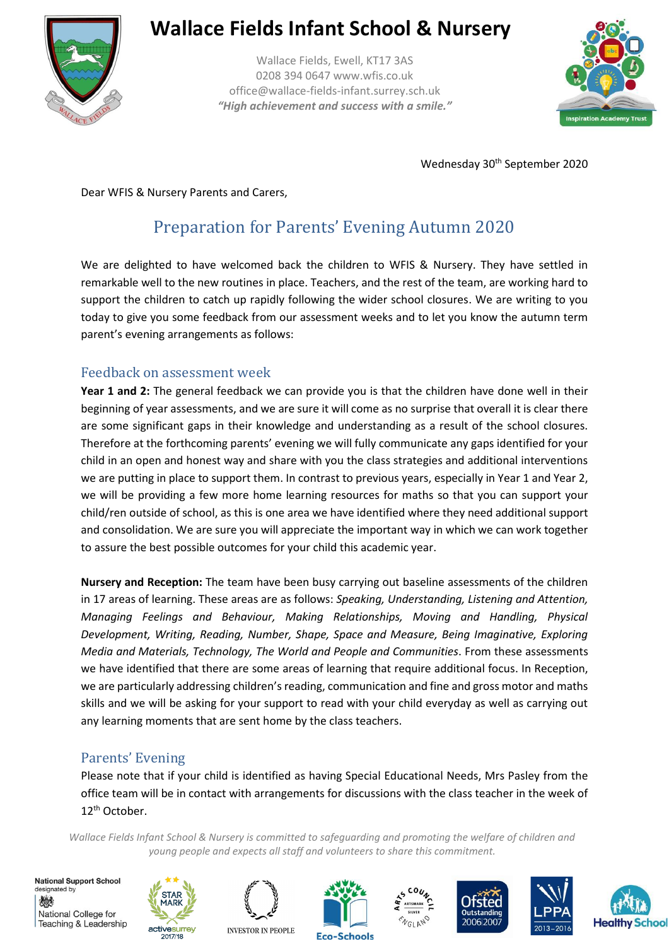

### **Wallace Fields Infant School & Nursery**

Wallace Fields, Ewell, KT17 3AS 0208 394 0647 www.wfis.co.uk office@wallace-fields-infant.surrey.sch.uk *"High achievement and success with a smile."*



Wednesday 30<sup>th</sup> September 2020

Dear WFIS & Nursery Parents and Carers,

### Preparation for Parents' Evening Autumn 2020

We are delighted to have welcomed back the children to WFIS & Nursery. They have settled in remarkable well to the new routines in place. Teachers, and the rest of the team, are working hard to support the children to catch up rapidly following the wider school closures. We are writing to you today to give you some feedback from our assessment weeks and to let you know the autumn term parent's evening arrangements as follows:

#### Feedback on assessment week

**Year 1 and 2:** The general feedback we can provide you is that the children have done well in their beginning of year assessments, and we are sure it will come as no surprise that overall it is clear there are some significant gaps in their knowledge and understanding as a result of the school closures. Therefore at the forthcoming parents' evening we will fully communicate any gaps identified for your child in an open and honest way and share with you the class strategies and additional interventions we are putting in place to support them. In contrast to previous years, especially in Year 1 and Year 2, we will be providing a few more home learning resources for maths so that you can support your child/ren outside of school, as this is one area we have identified where they need additional support and consolidation. We are sure you will appreciate the important way in which we can work together to assure the best possible outcomes for your child this academic year.

**Nursery and Reception:** The team have been busy carrying out baseline assessments of the children in 17 areas of learning. These areas are as follows: *Speaking, Understanding, Listening and Attention, Managing Feelings and Behaviour, Making Relationships, Moving and Handling, Physical Development, Writing, Reading, Number, Shape, Space and Measure, Being Imaginative, Exploring Media and Materials, Technology, The World and People and Communities*. From these assessments we have identified that there are some areas of learning that require additional focus. In Reception, we are particularly addressing children's reading, communication and fine and gross motor and maths skills and we will be asking for your support to read with your child everyday as well as carrying out any learning moments that are sent home by the class teachers.

### Parents' Evening

Please note that if your child is identified as having Special Educational Needs, Mrs Pasley from the office team will be in contact with arrangements for discussions with the class teacher in the week of 12th October.

*Wallace Fields Infant School & Nursery is committed to safeguarding and promoting the welfare of children and young people and expects all staff and volunteers to share this commitment.*

**National Support School** designated by 燃 National College for Teaching & Leadership











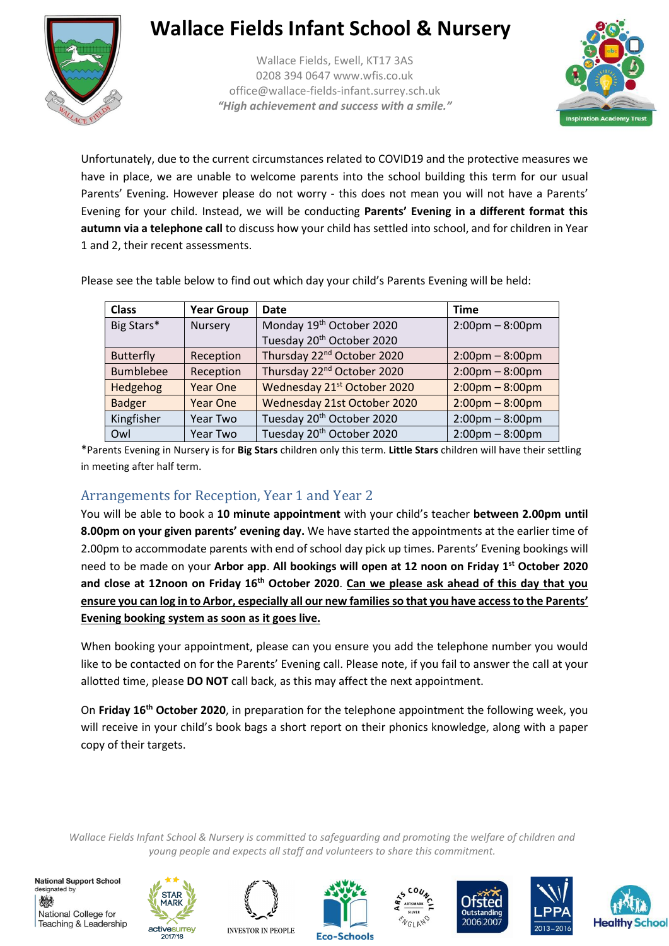

# **Wallace Fields Infant School & Nursery**

Wallace Fields, Ewell, KT17 3AS 0208 394 0647 www.wfis.co.uk office@wallace-fields-infant.surrey.sch.uk *"High achievement and success with a smile."*



Unfortunately, due to the current circumstances related to COVID19 and the protective measures we have in place, we are unable to welcome parents into the school building this term for our usual Parents' Evening. However please do not worry - this does not mean you will not have a Parents' Evening for your child. Instead, we will be conducting **Parents' Evening in a different format this autumn via a telephone call** to discuss how your child has settled into school, and for children in Year 1 and 2, their recent assessments.

| <b>Class</b>     | <b>Year Group</b> | <b>Date</b>                            | <b>Time</b>                       |
|------------------|-------------------|----------------------------------------|-----------------------------------|
| Big Stars*       | Nursery           | Monday 19 <sup>th</sup> October 2020   | $2:00 \text{pm} - 8:00 \text{pm}$ |
|                  |                   | Tuesday 20 <sup>th</sup> October 2020  |                                   |
| <b>Butterfly</b> | Reception         | Thursday 22 <sup>nd</sup> October 2020 | $2:00 \text{pm} - 8:00 \text{pm}$ |
| <b>Bumblebee</b> | Reception         | Thursday 22 <sup>nd</sup> October 2020 | $2:00 \text{pm} - 8:00 \text{pm}$ |
| Hedgehog         | <b>Year One</b>   | Wednesday 21st October 2020            | $2:00 \text{pm} - 8:00 \text{pm}$ |
| <b>Badger</b>    | <b>Year One</b>   | Wednesday 21st October 2020            | $2:00 \text{pm} - 8:00 \text{pm}$ |
| Kingfisher       | Year Two          | Tuesday 20 <sup>th</sup> October 2020  | $2:00 \text{pm} - 8:00 \text{pm}$ |
| Owl              | Year Two          | Tuesday 20 <sup>th</sup> October 2020  | $2:00 \text{pm} - 8:00 \text{pm}$ |

Please see the table below to find out which day your child's Parents Evening will be held:

\*Parents Evening in Nursery is for **Big Stars** children only this term. **Little Stars** children will have their settling in meeting after half term.

### Arrangements for Reception, Year 1 and Year 2

You will be able to book a **10 minute appointment** with your child's teacher **between 2.00pm until 8.00pm on your given parents' evening day.** We have started the appointments at the earlier time of 2.00pm to accommodate parents with end of school day pick up times. Parents' Evening bookings will need to be made on your **Arbor app**. **All bookings will open at 12 noon on Friday 1st October 2020 and close at 12noon on Friday 16th October 2020**. **Can we please ask ahead of this day that you ensure you can log in to Arbor, especially all our new families so that you have access to the Parents' Evening booking system as soon as it goes live.**

When booking your appointment, please can you ensure you add the telephone number you would like to be contacted on for the Parents' Evening call. Please note, if you fail to answer the call at your allotted time, please **DO NOT** call back, as this may affect the next appointment.

On **Friday 16th October 2020**, in preparation for the telephone appointment the following week, you will receive in your child's book bags a short report on their phonics knowledge, along with a paper copy of their targets.

*Wallace Fields Infant School & Nursery is committed to safeguarding and promoting the welfare of children and young people and expects all staff and volunteers to share this commitment.*

**National Support School** designated by 燃 National College for Teaching & Leadership